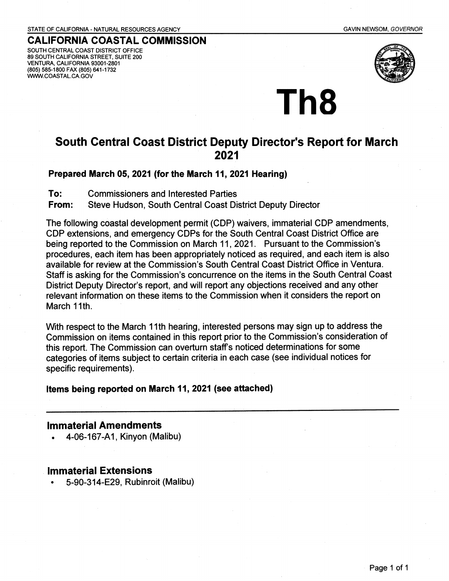STATE OF CALIFORNIA- NATURAL RESOURCES AGENCY

SOUTH CENTRAL COAST DISTRICT OFFICE 89 SOUTH CALIFORNIA STREET, SUITE 200 VENTURA, CALIFORNIA 93001-2801 (805) 585-1800 FAX (805) 641-1732 WWW.COASTAL.CA.GOV



## **CALIFORNIA COASTAL COMMISSION**

#### GAVIN NEWSOM, GOVERNOR

# **South Central Coast District Deputy Director's Report for March 2021**

Th8

### **Prepared March 05, 2021 (for the March 11, 2021 Hearing)**

To: Commissioners and Interested Parties

**From:** Steve Hudson, South Central Coast District Deputy Director

The following coastal development permit (CDP) waivers, immaterial CDP amendments, CDP extensions, and emergency CDPs for the South Central Coast District Office are being reported to the Commission on March 11, 2021. Pursuant to the Commission's procedures, each item has been appropriately noticed as required, and each item is also available for review at the Commission's South Central Coast District Office in Ventura. Staff is asking for the Commission's concurrence on the items in the South Central Coast District Deputy Director's report, and will report any objections received and any other relevant information on these items to the Commission when it considers the report on March 11th.

With respect to the March 11th hearing, interested persons may sign up to address the Commission on items contained in this report prior to the Commission's consideration of this report. The Commission can overturn staff's noticed determinations for some categories of items subject to certain criteria in each case (see individual notices for specific requirements).

**Items being reported on March 11, 2021 (see attached)** 

### **Immaterial Amendments**

4-06-167-A1, Kinyon (Malibu)

## . **Immaterial Extensions**

• 5-90-314-E29, Rubinroit (Malibu)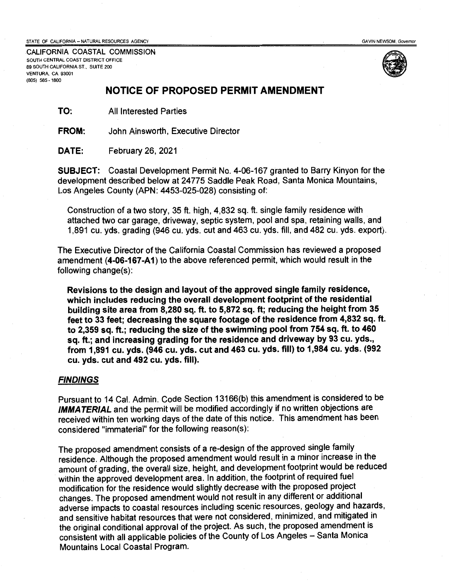STATE OF CALIFORNIA -- NATURAL RESOURCES AGENCY **GAVIN NEWSOM, Governor** GAVIN NEWSOM, Governor

**.CALIFORNIA COASTAL COMMISSION**  SOUTH CENTRAL COAST DISTRICT OFFICE 89 SOUTH CALIFORNIA ST., SUITE 200 VENTURA, CA 93001 (805) 585 - 1800



#### **NOTICE OF PROPOSED PERMIT AMENDMENT**

**TO:** All Interested Parties

**FROM:**  John Ainsworth, Executive Director

**DATE:**  February 26, 2021

**SUBJECT:** Coastal Development Permit No. 4-06-167 granted to Barry Kinyon for the development described below at 24775 Saddle Peak Road, Santa Monica Mountains, Los Angeles County (APN: 4453-025-028) consisting of:

Construction of a two story, 35 ft. high, 4,832 sq. ft. single family residence with attached two car garage, driveway, septic system, pool and spa, retaining walls, and 1,891 cu. yds. grading (946 cu. yds. cut and 463 cu. yds. fill, and 482 cu. yds. export).

The Executive Director of the California Coastal Commission has reviewed a proposed amendment **(4-06-167-A1)** to the above referenced permit, which would result in the following change(s):

**Revisions to the design and layout of the approved single family residence, which includes reducing the overall development footprint of the residential building site area from 8,280 sq. ft. to 5,872 sq. ft; reducing the height from 35 feet to 33 feet; decreasing the square footage of the residence from 4,832 sq. ft. to 2,359 sq. ft.; reducing the size of the swimming pool from 754 sq. ft. to 460 sq. ft.; and increasing grading for the residence and driveway by 93 cu. yds., from 1,891 cu. yds. (946 cu. yds. cut and 463 cu. yds. fill) to 1,984** cu. **yds. (992 cu. yds. cut and 492 cu. yds. fill).** 

#### **FINDINGS**

Pursuant to 14 Cal. Admin. Code Section 13166(b) this amendment is considered to be **IMMATERIAL** and the permit will be modified accordingly if no written objections are received within ten working days of the date of this notice. This amendment has been considered "immaterial" for the following reason(s):

The proposed amendment consists of a re-design of the approved single family residence. Although the proposed amendment would result in a minor increase in the amount of grading, the overall size, height, and development footprint would be reduced within the approved development area. In addition, the footprint of required fuel modification for the residence would slightly decrease with the proposed project changes. The proposed amendment would not result in any different or additional adverse impacts to coastal resources including scenic resources, geology and hazards, and sensitive habitat resources that were not considered, minimized, and mitigated in the original conditional approval of the project. As such, the proposed amendment is consistent with all applicable policies of the County of Los Angeles - Santa Monica Mountains Local Coastal Program.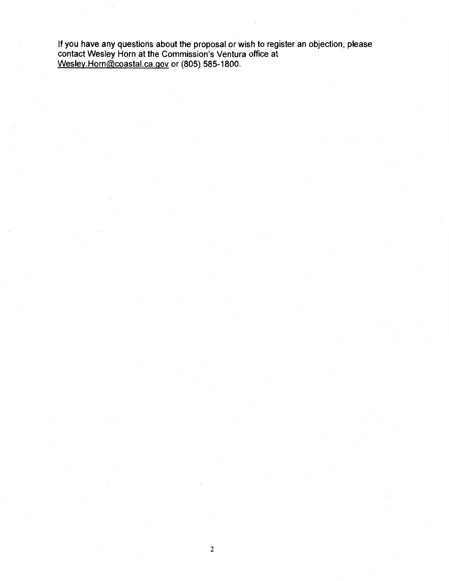If you have any questions about the proposal or wish to register an objection, please contact Wesley Horn at the Commission's Ventura office at Wesley.Horn@coastal.ca.gov or (805) 585-1800.